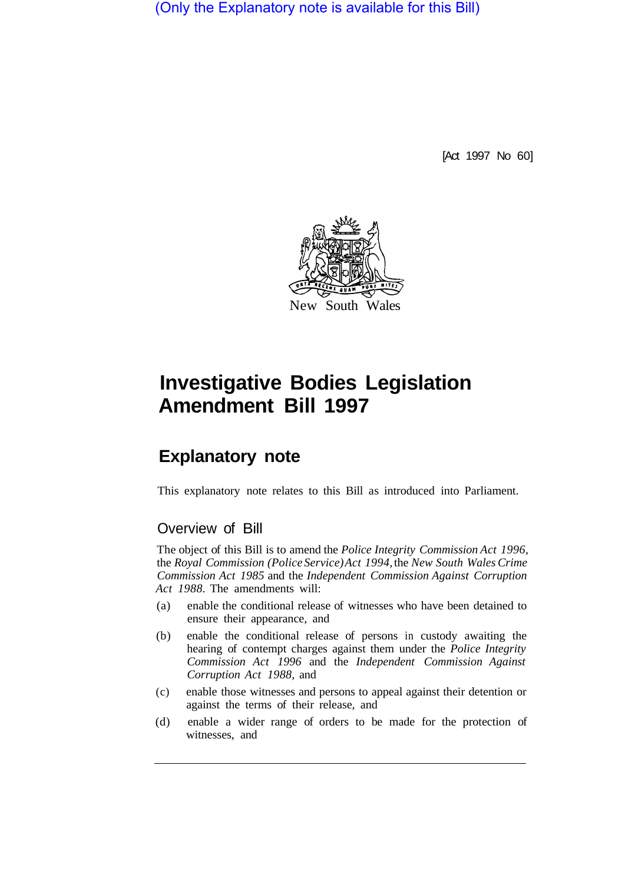(Only the Explanatory note is available for this Bill)

[Act 1997 No 60]



# **Investigative Bodies Legislation Amendment Bill 1997**

## **Explanatory note**

This explanatory note relates to this Bill as introduced into Parliament.

### Overview of Bill

The object of this Bill is to amend the *Police Integrity Commission Act 1996,*  the *Royal Commission (Police Service) Act 1994,* the *New South Wales Crime Commission Act 1985* and the *Independent Commission Against Corruption Act 1988.* The amendments will:

- (a) enable the conditional release of witnesses who have been detained to ensure their appearance, and
- (b) enable the conditional release of persons in custody awaiting the hearing of contempt charges against them under the *Police Integrity Commission Act 1996* and the *Independent Commission Against Corruption Act 1988,* and
- (c) enable those witnesses and persons to appeal against their detention or against the terms of their release, and
- (d) enable a wider range of orders to be made for the protection of witnesses, and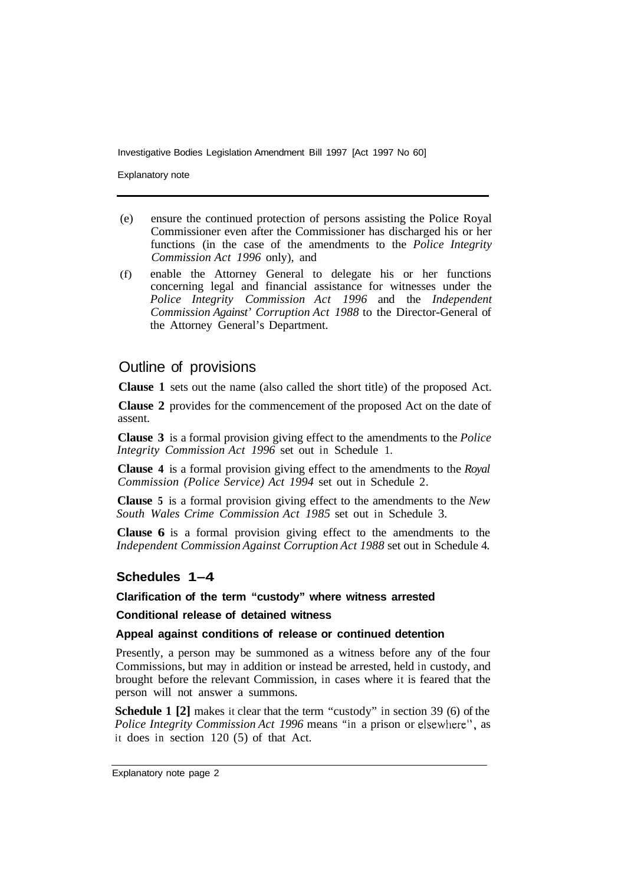Explanatory note

- (e) ensure the continued protection of persons assisting the Police Royal Commissioner even after the Commissioner has discharged his or her functions (in the case of the amendments to the *Police Integrity Commission Act 1996* only), and
- (f) enable the Attorney General to delegate his or her functions concerning legal and financial assistance for witnesses under the *Police Integrity Commission Act 1996* and the *Independent Commission Against' Corruption Act 1988* to the Director-General of the Attorney General's Department.

#### Outline of provisions

**Clause 1** sets out the name (also called the short title) of the proposed Act.

**Clause 2** provides for the commencement of the proposed Act on the date of assent.

**Clause 3** is a formal provision giving effect to the amendments to the *Police Integrity Commission Act 1996* set out in Schedule 1.

**Clause 4** is a formal provision giving effect to the amendments to the *Royal Commission (Police Service) Act 1994* set out in Schedule 2.

**Clause 5** is a formal provision giving effect to the amendments to the *New South Wales Crime Commission Act 1985* set out in Schedule 3.

**Clause 6** is a formal provision giving effect to the amendments to the *Independent Commission Against Corruption Act 1988* set out in Schedule 4.

#### **Schedules 1–4**

#### **Clarification of the term "custody" where witness arrested**

**Conditional release of detained witness** 

#### **Appeal against conditions of release or continued detention**

Presently, a person may be summoned as a witness before any of the four Commissions, but may in addition or instead be arrested, held in custody, and brought before the relevant Commission, in cases where it is feared that the person will not answer a summons.

**Schedule 1 [2]** makes it clear that the term "custody" in section 39 (6) of the *Police Integrity Commission Act 1996* means "in a prison or elsewhere", as it does in section 120 (5) of that Act.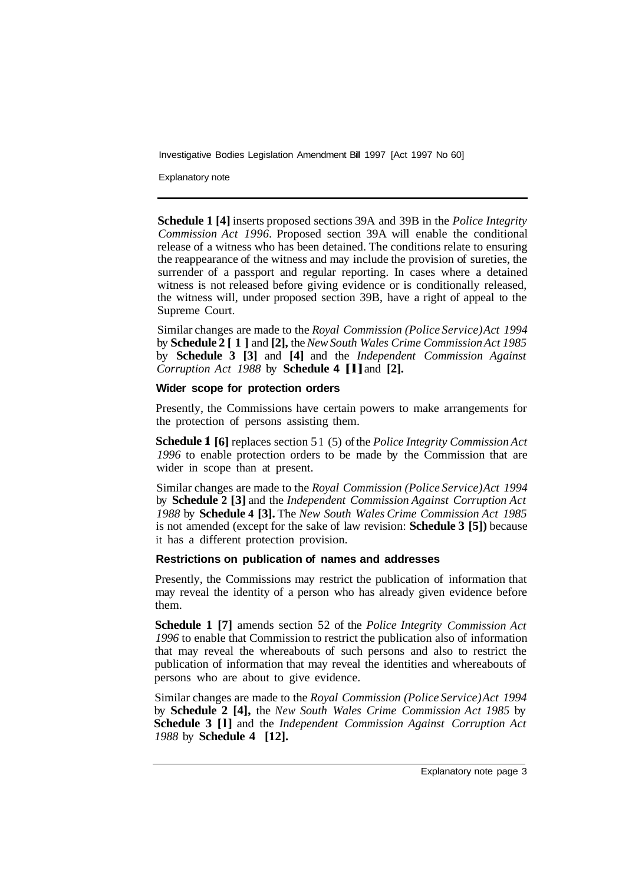Explanatory note

**Schedule 1 [4]** inserts proposed sections 39A and 39B in the *Police Integrity Commission Act 1996.* Proposed section 39A will enable the conditional release of a witness who has been detained. The conditions relate to ensuring the reappearance of the witness and may include the provision of sureties, the surrender of a passport and regular reporting. In cases where a detained witness is not released before giving evidence or is conditionally released, the witness will, under proposed section 39B, have a right of appeal to the Supreme Court.

Similar changes are made to the *Royal Commission (Police Service) Act 1994*  by **Schedule 2 [1]** and **[2],** the *New South Wales Crime Commission Act 1985*  by **Schedule 3 [3]** and **[4]** and the *Independent Commission Against Corruption Act 1988* by **Schedule 4 [l]** and **[2].** 

#### **Wider scope for protection orders**

Presently, the Commissions have certain powers to make arrangements for the protection of persons assisting them.

**Schedule l [6]** replaces section 5 1 (5) of the *Police Integrity Commission Act 1996* to enable protection orders to be made by the Commission that are wider in scope than at present.

Similar changes are made to the *Royal Commission (Police Service) Act 1994*  by **Schedule 2 [3]** and the *Independent Commission Against Corruption Act 1988* by **Schedule 4 [3].** The *New South Wales Crime Commission Act 1985*  is not amended (except for the sake of law revision: **Schedule 3 [5])** because it has a different protection provision.

#### **Restrictions on publication of names and addresses**

Presently, the Commissions may restrict the publication of information that may reveal the identity of a person who has already given evidence before them.

**Schedule 1 [7]** amends section 52 of the *Police Integrity Commission Act 1996* to enable that Commission to restrict the publication also of information that may reveal the whereabouts of such persons and also to restrict the publication of information that may reveal the identities and whereabouts of persons who are about to give evidence.

Similar changes are made to the *Royal Commission (Police Service) Act 1994*  by **Schedule 2 [4],** the *New South Wales Crime Commission Act 1985* by **Schedule 3 [l]** and the *Independent Commission Against Corruption Act 1988* by **Schedule 4 [12].**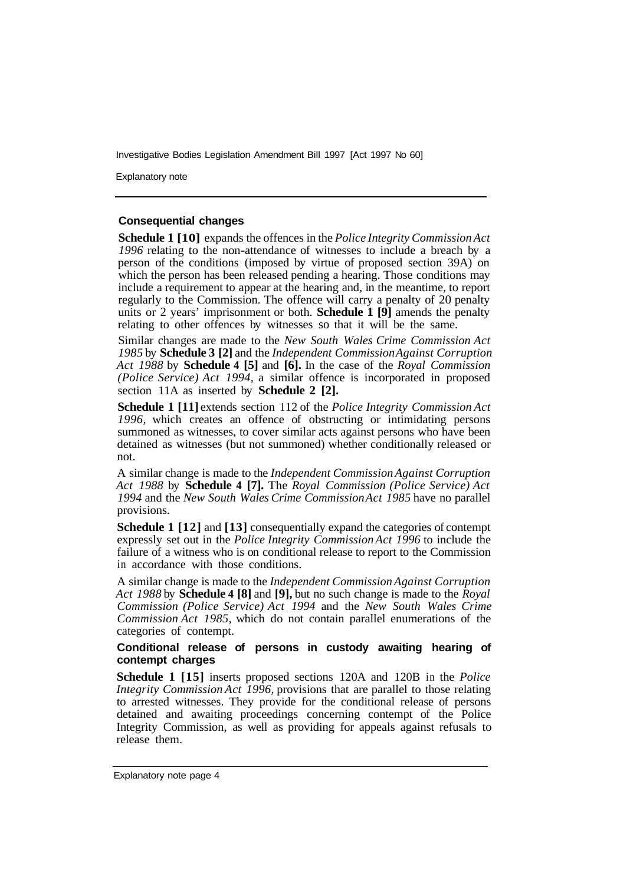Explanatory note

#### **Consequential changes**

**Schedule 1 [10]** expands the offences in the *Police Integrity Commission Act 1996* relating to the non-attendance of witnesses to include a breach by a person of the conditions (imposed by virtue of proposed section 39A) on which the person has been released pending a hearing. Those conditions may include a requirement to appear at the hearing and, in the meantime, to report regularly to the Commission. The offence will carry a penalty of 20 penalty units or 2 years' imprisonment or both. **Schedule 1 [9]** amends the penalty relating to other offences by witnesses so that it will be the same.

Similar changes are made to the *New South Wales Crime Commission Act 1985* by **Schedule 3 [2]** and the *Independent Commission Against Corruption Act 1988* by **Schedule 4 [5]** and **[6].** In the case of the *Royal Commission (Police Service) Act 1994,* a similar offence is incorporated in proposed section 11A as inserted by **Schedule 2 [2].** 

**Schedule 1 [11]** extends section 1 12 of the *Police Integrity Commission Act 1996,* which creates an offence of obstructing or intimidating persons summoned as witnesses, to cover similar acts against persons who have been detained as witnesses (but not summoned) whether conditionally released or not.

A similar change is made to the *Independent Commission Against Corruption Act 1988* by **Schedule 4 [7].** The *Royal Commission (Police Service) Act 1994* and the *New South Wales Crime Commission Act 1985* have no parallel provisions.

**Schedule 1 [12]** and **[13]** consequentially expand the categories of contempt expressly set out in the *Police Integrity Commission Act 1996* to include the failure of a witness who is on conditional release to report to the Commission in accordance with those conditions.

A similar change is made to the *Independent Commission Against Corruption Act 1988* by **Schedule 4 [8]** and **[9],** but no such change is made to the *Royal Commission (Police Service) Act 1994* and the *New South Wales Crime Commission Act 1985,* which do not contain parallel enumerations of the categories of contempt.

#### **Conditional release of persons in custody awaiting hearing of contempt charges**

**Schedule 1 [15]** inserts proposed sections 120A and 120B in the *Police Integrity Commission Act 1996, provisions that are parallel to those relating* to arrested witnesses. They provide for the conditional release of persons detained and awaiting proceedings concerning contempt of the Police Integrity Commission, as well as providing for appeals against refusals to release them.